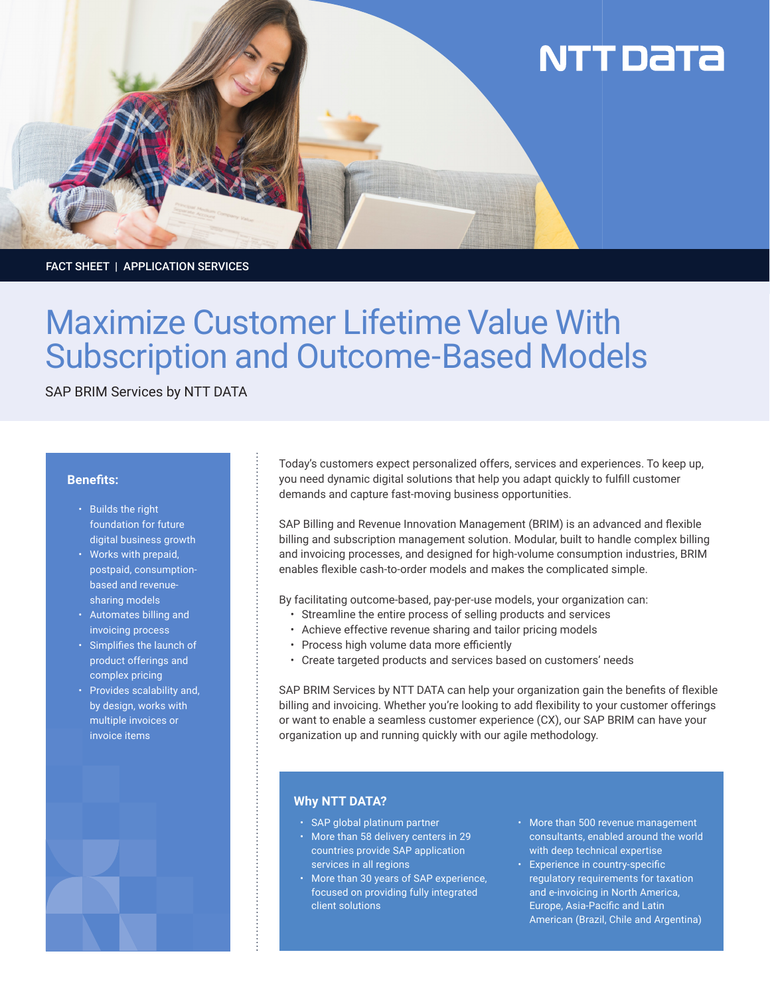# **NTT DATA**

FACT SHEET | APPLICATION SERVICES

# Maximize Customer Lifetime Value With Subscription and Outcome-Based Models

SAP BRIM Services by NTT DATA

## **Benefits:**

- Builds the right foundation for future digital business growth
- Works with prepaid, postpaid, consumptionbased and revenuesharing models
- Automates billing and invoicing process
- Simplifies the launch of product offerings and complex pricing
- Provides scalability and, by design, works with multiple invoices or invoice items



Today's customers expect personalized offers, services and experiences. To keep up, you need dynamic digital solutions that help you adapt quickly to fulfill customer demands and capture fast-moving business opportunities.

SAP Billing and Revenue Innovation Management (BRIM) is an advanced and flexible billing and subscription management solution. Modular, built to handle complex billing and invoicing processes, and designed for high-volume consumption industries, BRIM enables flexible cash-to-order models and makes the complicated simple.

By facilitating outcome-based, pay-per-use models, your organization can:

- Streamline the entire process of selling products and services
- Achieve effective revenue sharing and tailor pricing models
- Process high volume data more efficiently
- Create targeted products and services based on customers' needs

SAP BRIM Services by NTT DATA can help your organization gain the benefits of flexible billing and invoicing. Whether you're looking to add flexibility to your customer offerings or want to enable a seamless customer experience (CX), our SAP BRIM can have your organization up and running quickly with our agile methodology.

# **Why NTT DATA?**

- SAP global platinum partner
- More than 58 delivery centers in 29 countries provide SAP application services in all regions
- More than 30 years of SAP experience, focused on providing fully integrated client solutions
- More than 500 revenue management consultants, enabled around the world with deep technical expertise
- Experience in country-specific regulatory requirements for taxation and e-invoicing in North America, Europe, Asia-Pacific and Latin American (Brazil, Chile and Argentina)